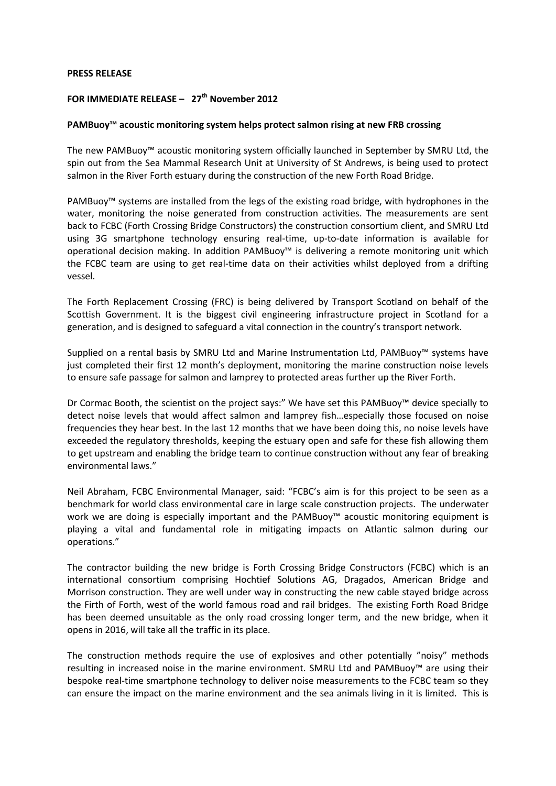## **PRESS RELEASE**

## **FOR IMMEDIATE RELEASE – 27th November 2012**

## **PAMBuoy™ acoustic monitoring system helps protect salmon rising at new FRB crossing**

The new PAMBuoy™ acoustic monitoring system officially launched in September by SMRU Ltd, the spin out from the Sea Mammal Research Unit at University of St Andrews, is being used to protect salmon in the River Forth estuary during the construction of the new Forth Road Bridge.

PAMBuoy™ systems are installed from the legs of the existing road bridge, with hydrophones in the water, monitoring the noise generated from construction activities. The measurements are sent back to FCBC (Forth Crossing Bridge Constructors) the construction consortium client, and SMRU Ltd using 3G smartphone technology ensuring real-time, up-to-date information is available for operational decision making. In addition PAMBuoy™ is delivering a remote monitoring unit which the FCBC team are using to get real-time data on their activities whilst deployed from a drifting vessel.

The Forth Replacement Crossing (FRC) is being delivered by Transport Scotland on behalf of the Scottish Government. It is the biggest civil engineering infrastructure project in Scotland for a generation, and is designed to safeguard a vital connection in the country's transport network.

Supplied on a rental basis by SMRU Ltd and Marine Instrumentation Ltd, PAMBuoy™ systems have just completed their first 12 month's deployment, monitoring the marine construction noise levels to ensure safe passage for salmon and lamprey to protected areas further up the River Forth.

Dr Cormac Booth, the scientist on the project says:" We have set this PAMBuoy™ device specially to detect noise levels that would affect salmon and lamprey fish…especially those focused on noise frequencies they hear best. In the last 12 months that we have been doing this, no noise levels have exceeded the regulatory thresholds, keeping the estuary open and safe for these fish allowing them to get upstream and enabling the bridge team to continue construction without any fear of breaking environmental laws."

Neil Abraham, FCBC Environmental Manager, said: "FCBC's aim is for this project to be seen as a benchmark for world class environmental care in large scale construction projects. The underwater work we are doing is especially important and the PAMBuoy™ acoustic monitoring equipment is playing a vital and fundamental role in mitigating impacts on Atlantic salmon during our operations."

The contractor building the new bridge is Forth Crossing Bridge Constructors (FCBC) which is an international consortium comprising Hochtief Solutions AG, Dragados, American Bridge and Morrison construction. They are well under way in constructing the new cable stayed bridge across the Firth of Forth, west of the world famous road and rail bridges. The existing Forth Road Bridge has been deemed unsuitable as the only road crossing longer term, and the new bridge, when it opens in 2016, will take all the traffic in its place.

The construction methods require the use of explosives and other potentially "noisy" methods resulting in increased noise in the marine environment. SMRU Ltd and PAMBuoy™ are using their bespoke real-time smartphone technology to deliver noise measurements to the FCBC team so they can ensure the impact on the marine environment and the sea animals living in it is limited. This is